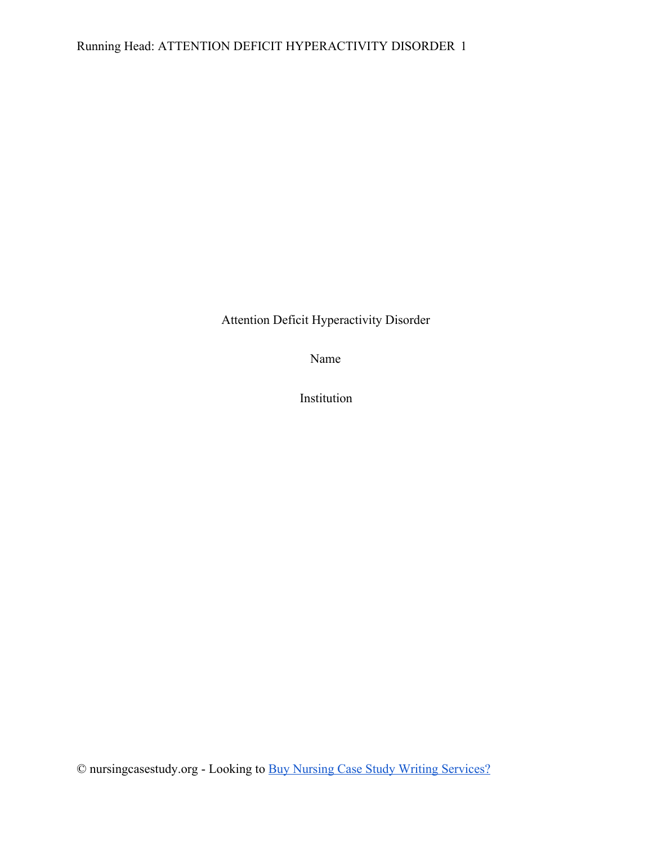# Running Head: ATTENTION DEFICIT HYPERACTIVITY DISORDER 1

Attention Deficit Hyperactivity Disorder

Name

Institution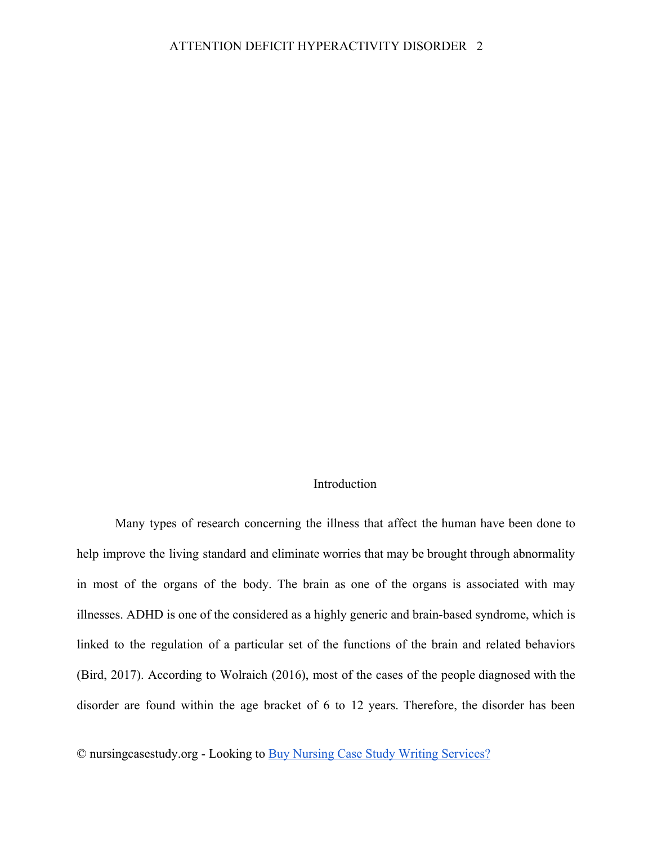### Introduction

Many types of research concerning the illness that affect the human have been done to help improve the living standard and eliminate worries that may be brought through abnormality in most of the organs of the body. The brain as one of the organs is associated with may illnesses. ADHD is one of the considered as a highly generic and brain-based syndrome, which is linked to the regulation of a particular set of the functions of the brain and related behaviors (Bird, 2017). According to Wolraich (2016), most of the cases of the people diagnosed with the disorder are found within the age bracket of 6 to 12 years. Therefore, the disorder has been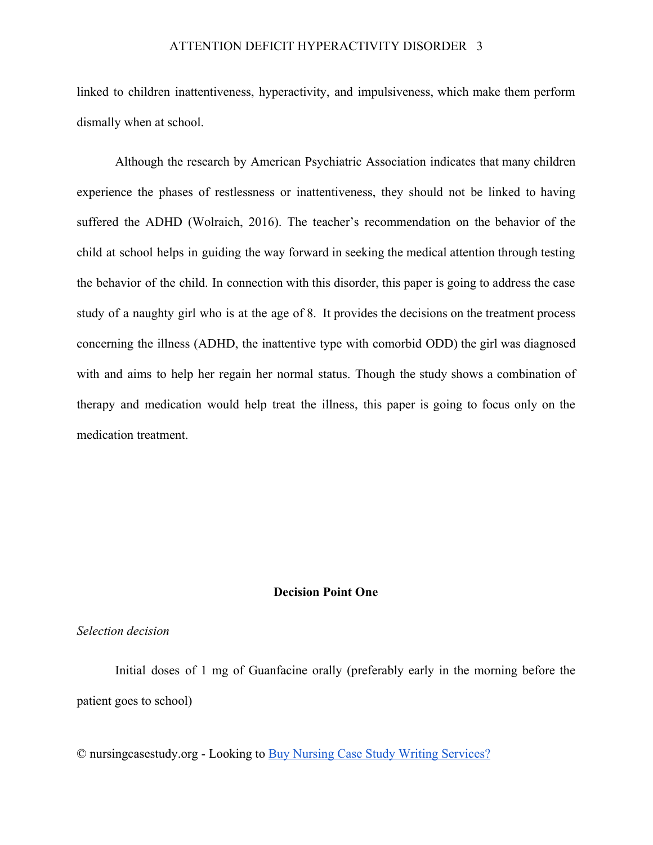linked to children inattentiveness, hyperactivity, and impulsiveness, which make them perform dismally when at school.

Although the research by American Psychiatric Association indicates that many children experience the phases of restlessness or inattentiveness, they should not be linked to having suffered the ADHD (Wolraich, 2016). The teacher's recommendation on the behavior of the child at school helps in guiding the way forward in seeking the medical attention through testing the behavior of the child. In connection with this disorder, this paper is going to address the case study of a naughty girl who is at the age of 8. It provides the decisions on the treatment process concerning the illness (ADHD, the inattentive type with comorbid ODD) the girl was diagnosed with and aims to help her regain her normal status. Though the study shows a combination of therapy and medication would help treat the illness, this paper is going to focus only on the medication treatment.

#### **Decision Point One**

#### *Selection decision*

Initial doses of 1 mg of Guanfacine orally (preferably early in the morning before the patient goes to school)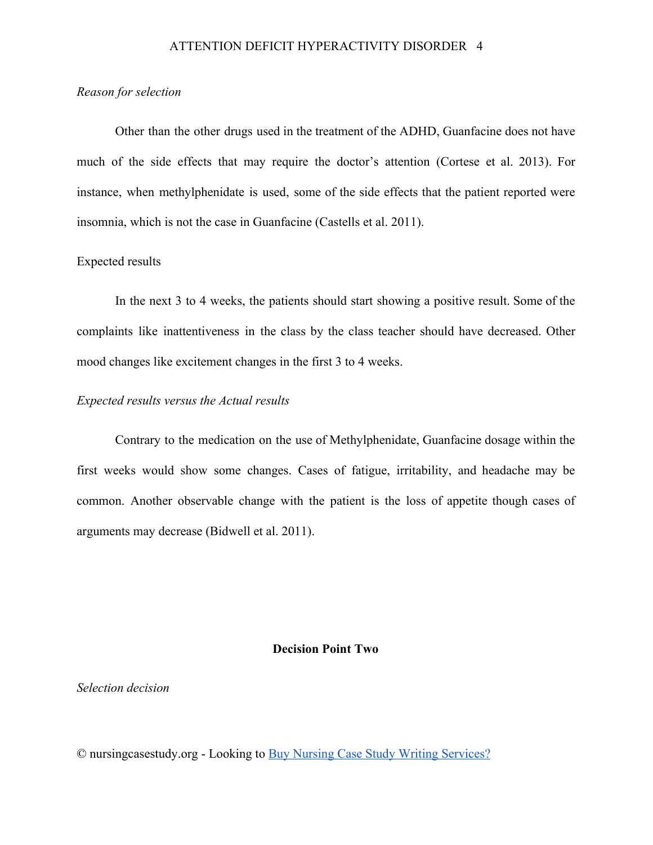#### *Reason for selection*

Other than the other drugs used in the treatment of the ADHD, Guanfacine does not have much of the side effects that may require the doctor's attention (Cortese et al. 2013). For instance, when methylphenidate is used, some of the side effects that the patient reported were insomnia, which is not the case in Guanfacine (Castells et al. 2011).

# Expected results

In the next 3 to 4 weeks, the patients should start showing a positive result. Some of the complaints like inattentiveness in the class by the class teacher should have decreased. Other mood changes like excitement changes in the first 3 to 4 weeks.

### *Expected results versus the Actual results*

Contrary to the medication on the use of Methylphenidate, Guanfacine dosage within the first weeks would show some changes. Cases of fatigue, irritability, and headache may be common. Another observable change with the patient is the loss of appetite though cases of arguments may decrease (Bidwell et al. 2011).

#### **Decision Point Two**

## *Selection decision*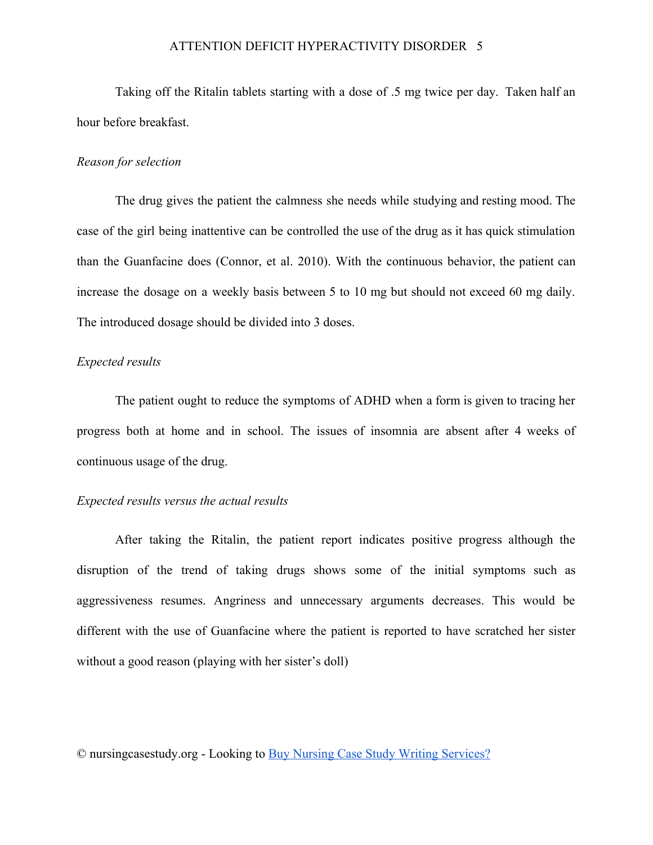### ATTENTION DEFICIT HYPERACTIVITY DISORDER 5

Taking off the Ritalin tablets starting with a dose of .5 mg twice per day. Taken half an hour before breakfast.

#### *Reason for selection*

The drug gives the patient the calmness she needs while studying and resting mood. The case of the girl being inattentive can be controlled the use of the drug as it has quick stimulation than the Guanfacine does (Connor, et al. 2010). With the continuous behavior, the patient can increase the dosage on a weekly basis between 5 to 10 mg but should not exceed 60 mg daily. The introduced dosage should be divided into 3 doses.

### *Expected results*

The patient ought to reduce the symptoms of ADHD when a form is given to tracing her progress both at home and in school. The issues of insomnia are absent after 4 weeks of continuous usage of the drug.

### *Expected results versus the actual results*

After taking the Ritalin, the patient report indicates positive progress although the disruption of the trend of taking drugs shows some of the initial symptoms such as aggressiveness resumes. Angriness and unnecessary arguments decreases. This would be different with the use of Guanfacine where the patient is reported to have scratched her sister without a good reason (playing with her sister's doll)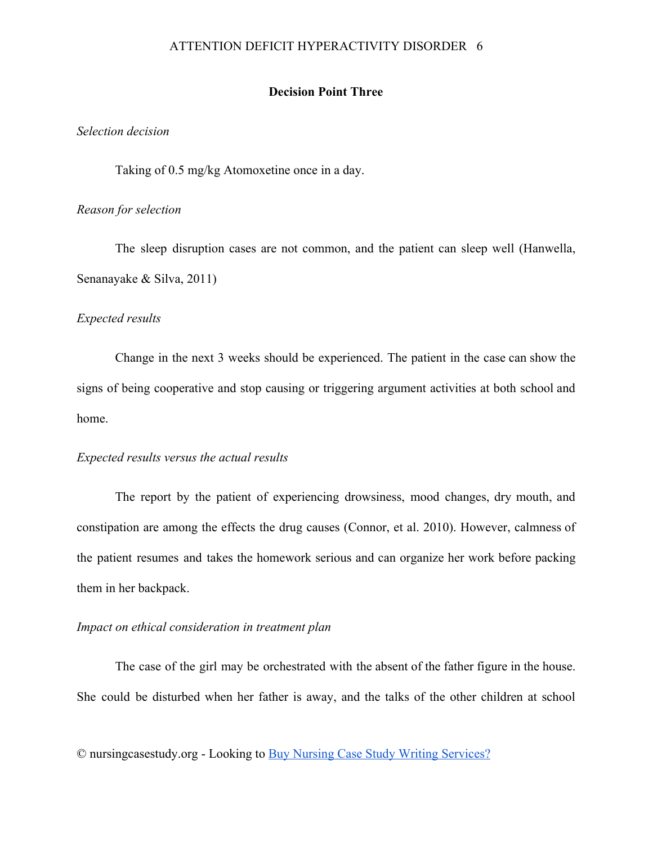### ATTENTION DEFICIT HYPERACTIVITY DISORDER 6

### **Decision Point Three**

### *Selection decision*

Taking of 0.5 mg/kg Atomoxetine once in a day.

#### *Reason for selection*

The sleep disruption cases are not common, and the patient can sleep well (Hanwella, Senanayake & Silva, 2011)

#### *Expected results*

Change in the next 3 weeks should be experienced. The patient in the case can show the signs of being cooperative and stop causing or triggering argument activities at both school and home.

### *Expected results versus the actual results*

The report by the patient of experiencing drowsiness, mood changes, dry mouth, and constipation are among the effects the drug causes (Connor, et al. 2010). However, calmness of the patient resumes and takes the homework serious and can organize her work before packing them in her backpack.

### *Impact on ethical consideration in treatment plan*

The case of the girl may be orchestrated with the absent of the father figure in the house. She could be disturbed when her father is away, and the talks of the other children at school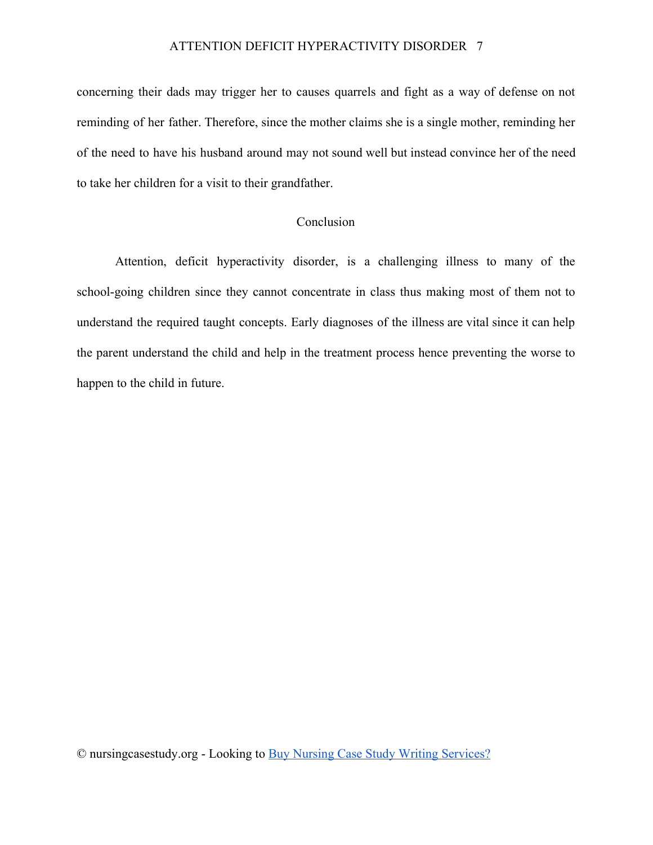concerning their dads may trigger her to causes quarrels and fight as a way of defense on not reminding of her father. Therefore, since the mother claims she is a single mother, reminding her of the need to have his husband around may not sound well but instead convince her of the need to take her children for a visit to their grandfather.

### Conclusion

Attention, deficit hyperactivity disorder, is a challenging illness to many of the school-going children since they cannot concentrate in class thus making most of them not to understand the required taught concepts. Early diagnoses of the illness are vital since it can help the parent understand the child and help in the treatment process hence preventing the worse to happen to the child in future.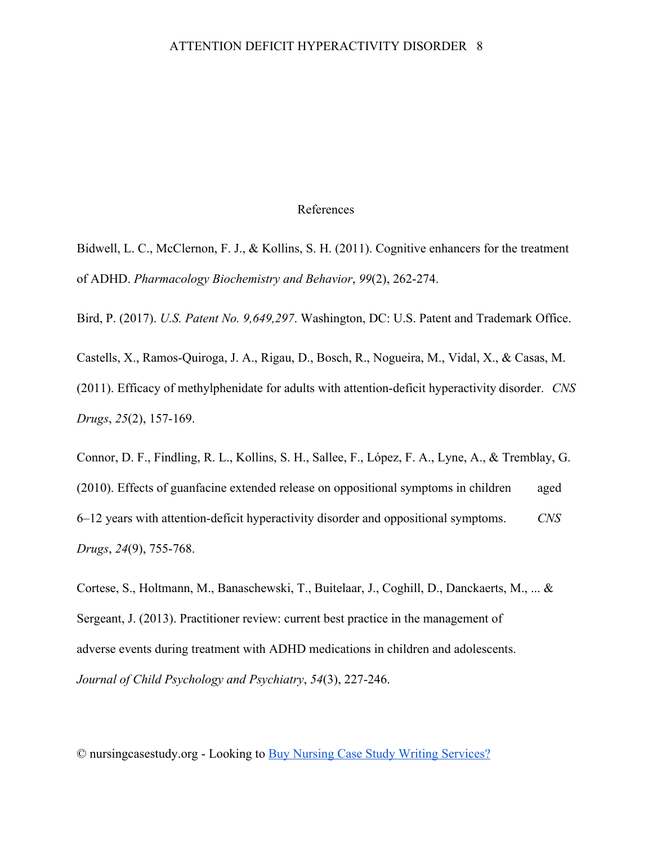#### References

Bidwell, L. C., McClernon, F. J., & Kollins, S. H. (2011). Cognitive enhancers for the treatment of ADHD. *Pharmacology Biochemistry and Behavior*, *99*(2), 262-274.

Bird, P. (2017). *U.S. Patent No. 9,649,297*. Washington, DC: U.S. Patent and Trademark Office.

Castells, X., Ramos-Quiroga, J. A., Rigau, D., Bosch, R., Nogueira, M., Vidal, X., & Casas, M. (2011). Efficacy of methylphenidate for adults with attention-deficit hyperactivity disorder. *CNS Drugs*, *25*(2), 157-169.

Connor, D. F., Findling, R. L., Kollins, S. H., Sallee, F., López, F. A., Lyne, A., & Tremblay, G. (2010). Effects of guanfacine extended release on oppositional symptoms in children aged 6–12 years with attention-deficit hyperactivity disorder and oppositional symptoms. *CNS Drugs*, *24*(9), 755-768.

Cortese, S., Holtmann, M., Banaschewski, T., Buitelaar, J., Coghill, D., Danckaerts, M., ... & Sergeant, J. (2013). Practitioner review: current best practice in the management of adverse events during treatment with ADHD medications in children and adolescents. *Journal of Child Psychology and Psychiatry*, *54*(3), 227-246.